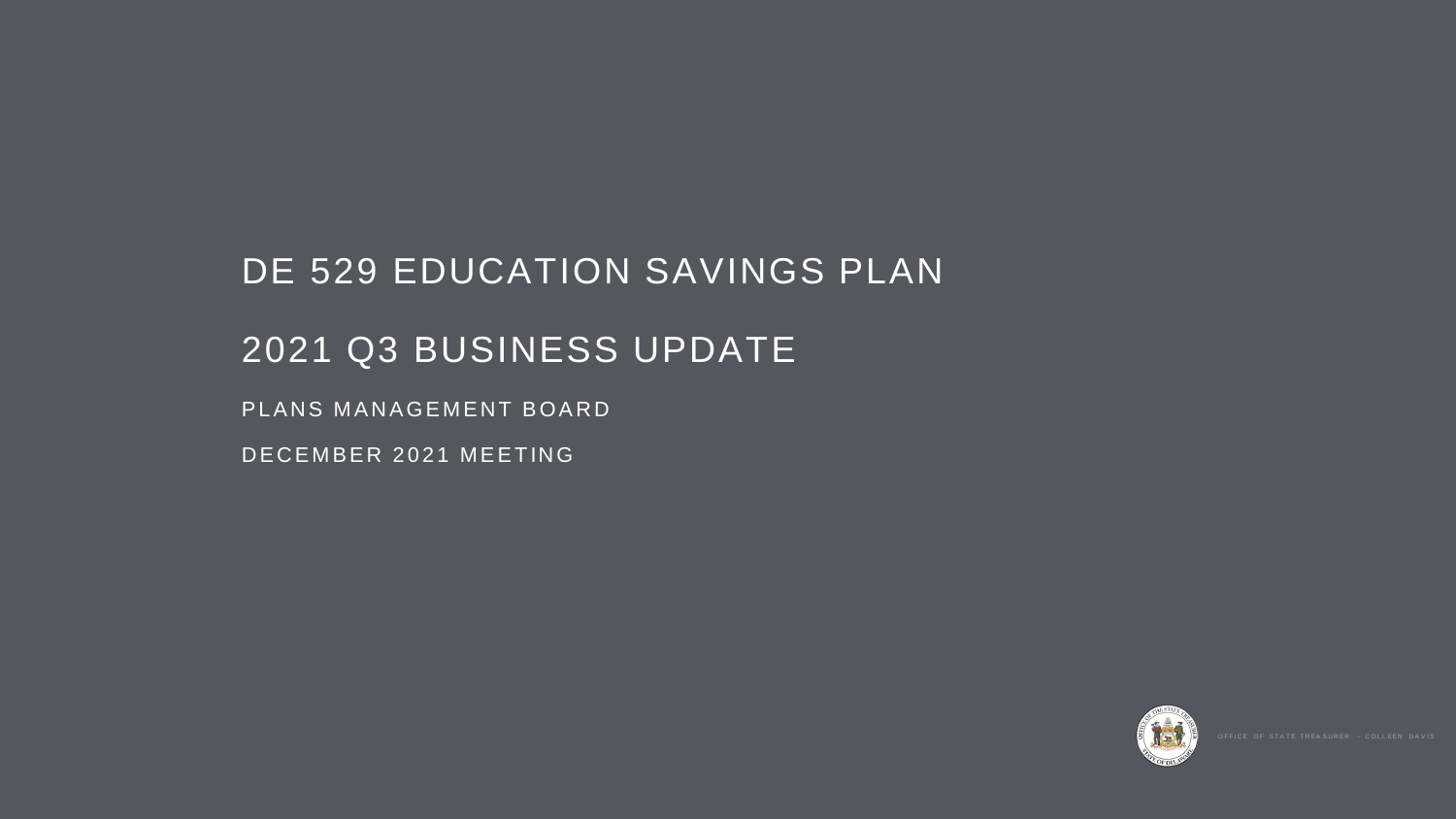# DE 529 EDUCATION SAVINGS PLAN 2021 Q3 BUSINESS UPDATE PLANS MANAGEMENT BOARD DECEMBER 2021 MEETING

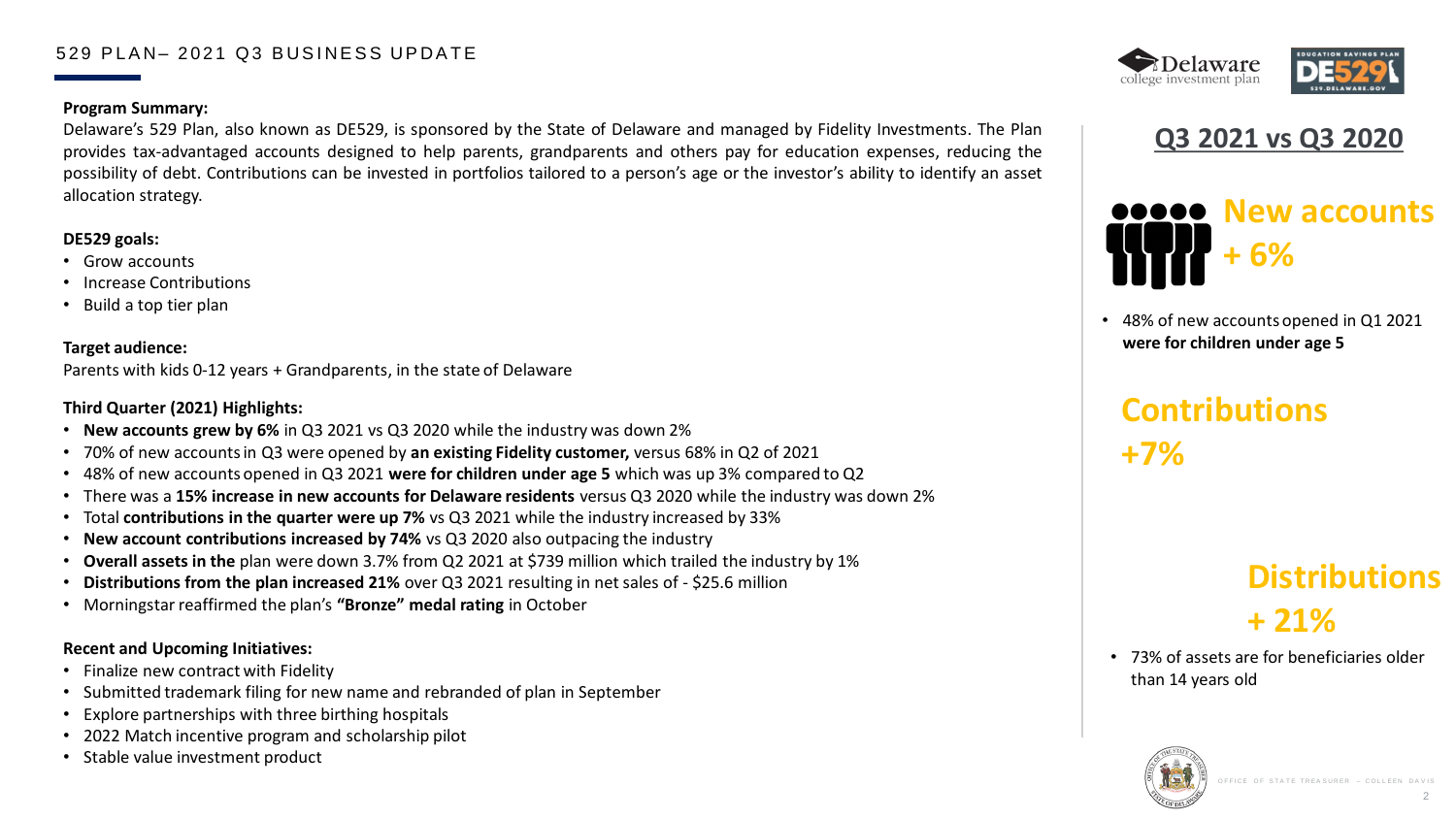# **Q3 2021 vs Q3 2020**

### 529 PLAN- 2021 Q3 BUSINESS UPDATE

### **Program Summary:**

Delaware's 529 Plan, also known as DE529, is sponsored by the State of Delaware and managed by Fidelity Investments. The Plan provides tax-advantaged accounts designed to help parents, grandparents and others pay for education expenses, reducing the possibility of debt. Contributions can be invested in portfolios tailored to a person's age or the investor's ability to identify an asset allocation strategy.

### **DE529 goals:**

- Grow accounts
- Increase Contributions
- Build a top tier plan

### **Target audience:**

Parents with kids 0-12 years + Grandparents, in the state of Delaware

### **Third Quarter (2021) Highlights:**

- Finalize new contract with Fidelity
- Submitted trademark filing for new name and rebranded of plan in September
- Explore partnerships with three birthing hospitals
- 2022 Match incentive program and scholarship pilot
- Stable value investment product





# **New accounts + 6%**

- **New accounts grew by 6%** in Q3 2021 vs Q3 2020 while the industry was down 2%
- 70% of new accounts in Q3 were opened by **an existing Fidelity customer,** versus 68% in Q2 of 2021
- 48% of new accounts opened in Q3 2021 **were for children under age 5** which was up 3% compared to Q2
- There was a **15% increase in new accounts for Delaware residents** versus Q3 2020 while the industry was down 2%
- Total **contributions in the quarter were up 7%** vs Q3 2021 while the industry increased by 33%
- **New account contributions increased by 74%** vs Q3 2020 also outpacing the industry
- **Overall assets in the** plan were down 3.7% from Q2 2021 at \$739 million which trailed the industry by 1%
- **Distributions from the plan increased 21%** over Q3 2021 resulting in net sales of \$25.6 million
- Morningstar reaffirmed the plan's **"Bronze" medal rating** in October

### **Recent and Upcoming Initiatives:**

# **Distributions + 21%**

**Contributions +7%**

• 73% of assets are for beneficiaries older than 14 years old











• 48% of new accounts opened in Q1 2021 **were for children under age 5**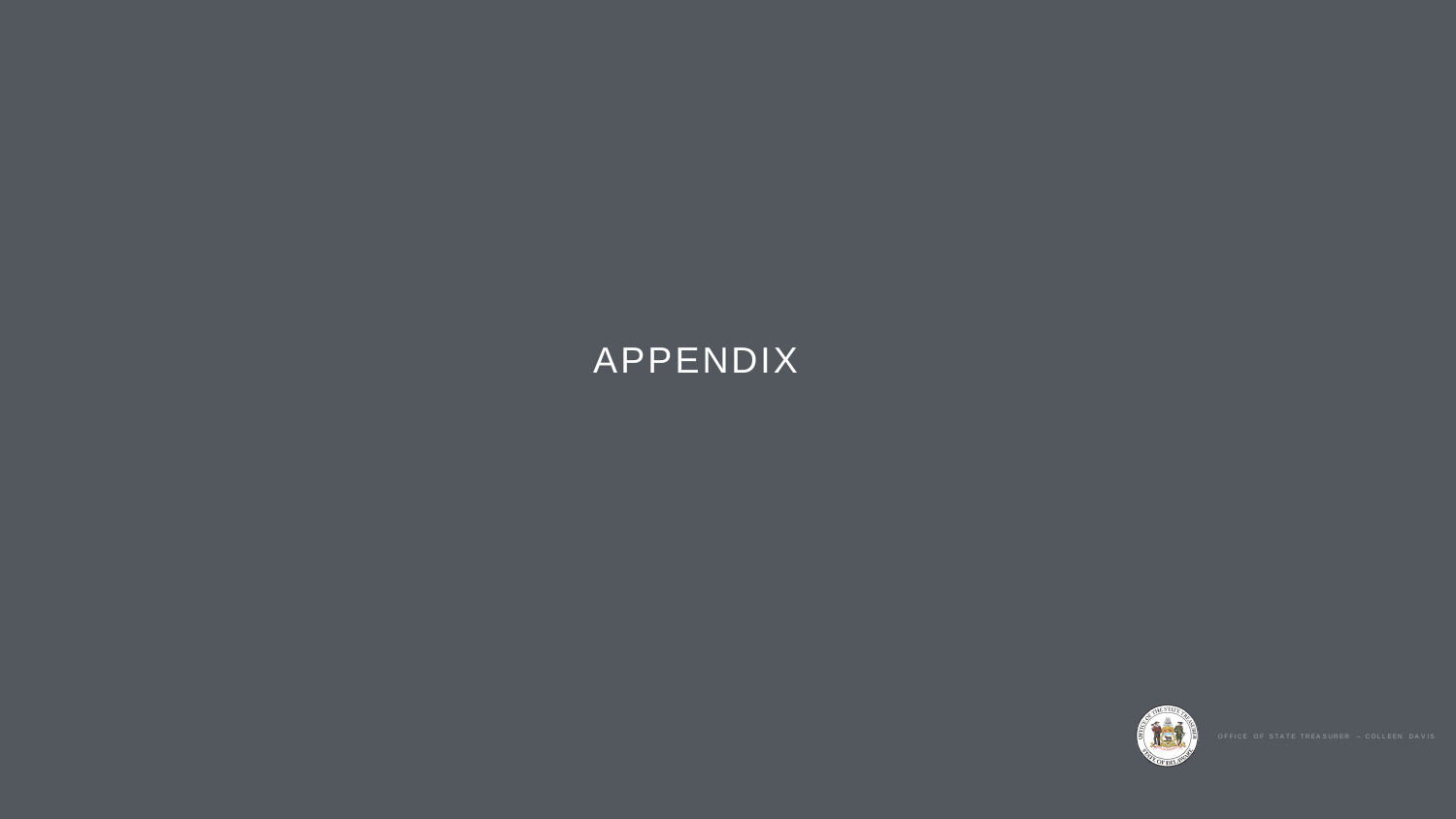# APPENDIX